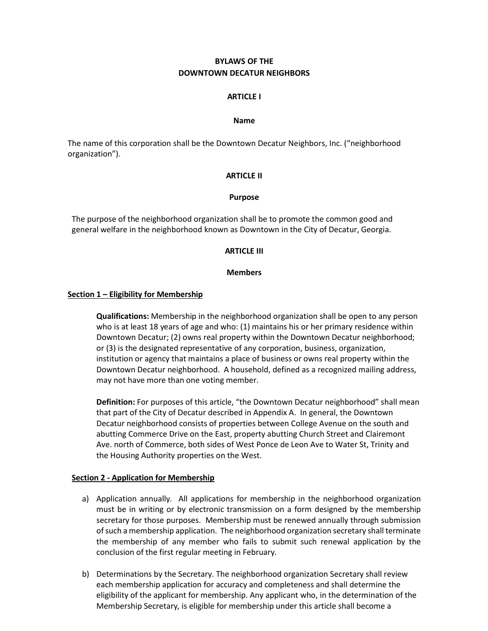# **BYLAWS OF THE DOWNTOWN DECATUR NEIGHBORS**

#### **ARTICLE I**

#### **Name**

The name of this corporation shall be the Downtown Decatur Neighbors, Inc. ("neighborhood organization").

#### **ARTICLE II**

#### **Purpose**

The purpose of the neighborhood organization shall be to promote the common good and general welfare in the neighborhood known as Downtown in the City of Decatur, Georgia.

#### **ARTICLE III**

#### **Members**

#### **Section 1 – Eligibility for Membership**

**Qualifications:** Membership in the neighborhood organization shall be open to any person who is at least 18 years of age and who: (1) maintains his or her primary residence within Downtown Decatur; (2) owns real property within the Downtown Decatur neighborhood; or (3) is the designated representative of any corporation, business, organization, institution or agency that maintains a place of business or owns real property within the Downtown Decatur neighborhood. A household, defined as a recognized mailing address, may not have more than one voting member.

**Definition:** For purposes of this article, "the Downtown Decatur neighborhood" shall mean that part of the City of Decatur described in Appendix A. In general, the Downtown Decatur neighborhood consists of properties between College Avenue on the south and abutting Commerce Drive on the East, property abutting Church Street and Clairemont Ave. north of Commerce, both sides of West Ponce de Leon Ave to Water St, Trinity and the Housing Authority properties on the West.

# **Section 2 - Application for Membership**

- a) Application annually. All applications for membership in the neighborhood organization must be in writing or by electronic transmission on a form designed by the membership secretary for those purposes. Membership must be renewed annually through submission ofsuch a membership application. The neighborhood organization secretary shall terminate the membership of any member who fails to submit such renewal application by the conclusion of the first regular meeting in February.
- b) Determinations by the Secretary. The neighborhood organization Secretary shall review each membership application for accuracy and completeness and shall determine the eligibility of the applicant for membership. Any applicant who, in the determination of the Membership Secretary, is eligible for membership under this article shall become a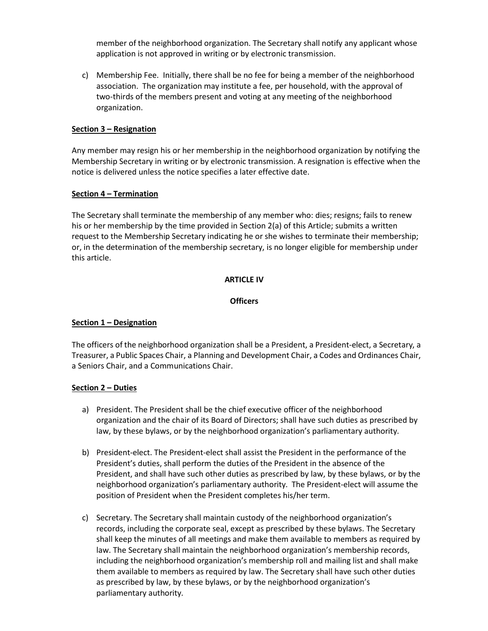member of the neighborhood organization. The Secretary shall notify any applicant whose application is not approved in writing or by electronic transmission.

c) Membership Fee. Initially, there shall be no fee for being a member of the neighborhood association. The organization may institute a fee, per household, with the approval of two-thirds of the members present and voting at any meeting of the neighborhood organization.

# **Section 3 – Resignation**

Any member may resign his or her membership in the neighborhood organization by notifying the Membership Secretary in writing or by electronic transmission. A resignation is effective when the notice is delivered unless the notice specifies a later effective date.

# **Section 4 – Termination**

The Secretary shall terminate the membership of any member who: dies; resigns; fails to renew his or her membership by the time provided in Section 2(a) of this Article; submits a written request to the Membership Secretary indicating he or she wishes to terminate their membership; or, in the determination of the membership secretary, is no longer eligible for membership under this article.

# **ARTICLE IV**

# **Officers**

# **Section 1 – Designation**

The officers of the neighborhood organization shall be a President, a President-elect, a Secretary, a Treasurer, a Public Spaces Chair, a Planning and Development Chair, a Codes and Ordinances Chair, a Seniors Chair, and a Communications Chair.

# **Section 2 – Duties**

- a) President. The President shall be the chief executive officer of the neighborhood organization and the chair of its Board of Directors; shall have such duties as prescribed by law, by these bylaws, or by the neighborhood organization's parliamentary authority.
- b) President-elect. The President-elect shall assist the President in the performance of the President's duties, shall perform the duties of the President in the absence of the President, and shall have such other duties as prescribed by law, by these bylaws, or by the neighborhood organization's parliamentary authority. The President-elect will assume the position of President when the President completes his/her term.
- c) Secretary. The Secretary shall maintain custody of the neighborhood organization's records, including the corporate seal, except as prescribed by these bylaws. The Secretary shall keep the minutes of all meetings and make them available to members as required by law. The Secretary shall maintain the neighborhood organization's membership records, including the neighborhood organization's membership roll and mailing list and shall make them available to members as required by law. The Secretary shall have such other duties as prescribed by law, by these bylaws, or by the neighborhood organization's parliamentary authority.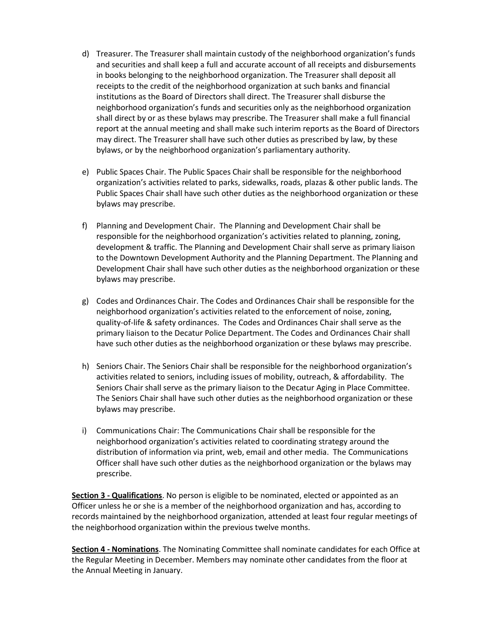- d) Treasurer. The Treasurer shall maintain custody of the neighborhood organization's funds and securities and shall keep a full and accurate account of all receipts and disbursements in books belonging to the neighborhood organization. The Treasurer shall deposit all receipts to the credit of the neighborhood organization at such banks and financial institutions as the Board of Directors shall direct. The Treasurer shall disburse the neighborhood organization's funds and securities only as the neighborhood organization shall direct by or as these bylaws may prescribe. The Treasurer shall make a full financial report at the annual meeting and shall make such interim reports as the Board of Directors may direct. The Treasurer shall have such other duties as prescribed by law, by these bylaws, or by the neighborhood organization's parliamentary authority.
- e) Public Spaces Chair. The Public Spaces Chair shall be responsible for the neighborhood organization's activities related to parks, sidewalks, roads, plazas & other public lands. The Public Spaces Chair shall have such other duties as the neighborhood organization or these bylaws may prescribe.
- f) Planning and Development Chair. The Planning and Development Chair shall be responsible for the neighborhood organization's activities related to planning, zoning, development & traffic. The Planning and Development Chair shall serve as primary liaison to the Downtown Development Authority and the Planning Department. The Planning and Development Chair shall have such other duties as the neighborhood organization or these bylaws may prescribe.
- g) Codes and Ordinances Chair. The Codes and Ordinances Chair shall be responsible for the neighborhood organization's activities related to the enforcement of noise, zoning, quality-of-life & safety ordinances. The Codes and Ordinances Chair shall serve as the primary liaison to the Decatur Police Department. The Codes and Ordinances Chair shall have such other duties as the neighborhood organization or these bylaws may prescribe.
- h) Seniors Chair. The Seniors Chair shall be responsible for the neighborhood organization's activities related to seniors, including issues of mobility, outreach, & affordability. The Seniors Chair shall serve as the primary liaison to the Decatur Aging in Place Committee. The Seniors Chair shall have such other duties as the neighborhood organization or these bylaws may prescribe.
- i) Communications Chair: The Communications Chair shall be responsible for the neighborhood organization's activities related to coordinating strategy around the distribution of information via print, web, email and other media. The Communications Officer shall have such other duties as the neighborhood organization or the bylaws may prescribe.

**Section 3 - Qualifications**. No person is eligible to be nominated, elected or appointed as an Officer unless he or she is a member of the neighborhood organization and has, according to records maintained by the neighborhood organization, attended at least four regular meetings of the neighborhood organization within the previous twelve months.

**Section 4 - Nominations**. The Nominating Committee shall nominate candidates for each Office at the Regular Meeting in December. Members may nominate other candidates from the floor at the Annual Meeting in January.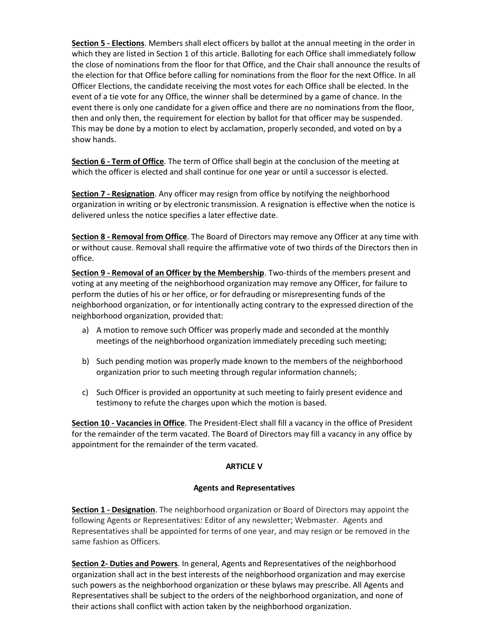**Section 5 - Elections**. Members shall elect officers by ballot at the annual meeting in the order in which they are listed in Section 1 of this article. Balloting for each Office shall immediately follow the close of nominations from the floor for that Office, and the Chair shall announce the results of the election for that Office before calling for nominations from the floor for the next Office. In all Officer Elections, the candidate receiving the most votes for each Office shall be elected. In the event of a tie vote for any Office, the winner shall be determined by a game of chance. In the event there is only one candidate for a given office and there are no nominations from the floor, then and only then, the requirement for election by ballot for that officer may be suspended. This may be done by a motion to elect by acclamation, properly seconded, and voted on by a show hands.

**Section 6 - Term of Office**. The term of Office shall begin at the conclusion of the meeting at which the officer is elected and shall continue for one year or until a successor is elected.

**Section 7 - Resignation**. Any officer may resign from office by notifying the neighborhood organization in writing or by electronic transmission. A resignation is effective when the notice is delivered unless the notice specifies a later effective date.

**Section 8 - Removal from Office**. The Board of Directors may remove any Officer at any time with or without cause. Removal shall require the affirmative vote of two thirds of the Directors then in office.

**Section 9 - Removal of an Officer by the Membership**. Two-thirds of the members present and voting at any meeting of the neighborhood organization may remove any Officer, for failure to perform the duties of his or her office, or for defrauding or misrepresenting funds of the neighborhood organization, or for intentionally acting contrary to the expressed direction of the neighborhood organization, provided that:

- a) A motion to remove such Officer was properly made and seconded at the monthly meetings of the neighborhood organization immediately preceding such meeting;
- b) Such pending motion was properly made known to the members of the neighborhood organization prior to such meeting through regular information channels;
- c) Such Officer is provided an opportunity at such meeting to fairly present evidence and testimony to refute the charges upon which the motion is based.

**Section 10 - Vacancies in Office**. The President-Elect shall fill a vacancy in the office of President for the remainder of the term vacated. The Board of Directors may fill a vacancy in any office by appointment for the remainder of the term vacated.

# **ARTICLE V**

# **Agents and Representatives**

**Section 1 - Designation**. The neighborhood organization or Board of Directors may appoint the following Agents or Representatives: Editor of any newsletter; Webmaster. Agents and Representatives shall be appointed for terms of one year, and may resign or be removed in the same fashion as Officers*.*

**Section 2- Duties and Powers**. In general, Agents and Representatives of the neighborhood organization shall act in the best interests of the neighborhood organization and may exercise such powers as the neighborhood organization or these bylaws may prescribe. All Agents and Representatives shall be subject to the orders of the neighborhood organization, and none of their actions shall conflict with action taken by the neighborhood organization.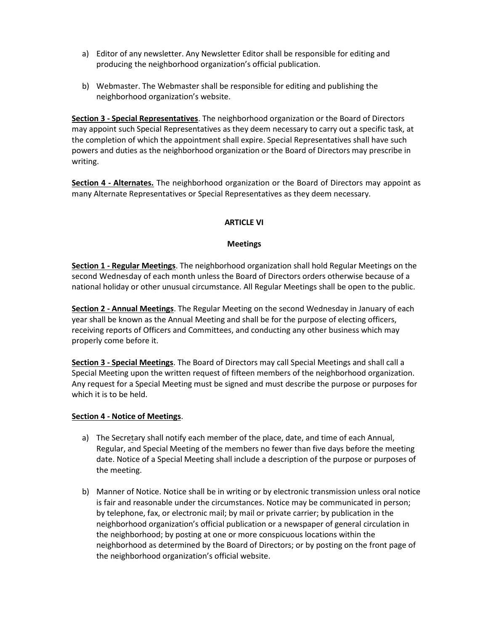- a) Editor of any newsletter. Any Newsletter Editor shall be responsible for editing and producing the neighborhood organization's official publication.
- b) Webmaster. The Webmaster shall be responsible for editing and publishing the neighborhood organization's website.

**Section 3 - Special Representatives**. The neighborhood organization or the Board of Directors may appoint such Special Representatives as they deem necessary to carry out a specific task, at the completion of which the appointment shall expire. Special Representatives shall have such powers and duties as the neighborhood organization or the Board of Directors may prescribe in writing.

**Section 4 - Alternates.** The neighborhood organization or the Board of Directors may appoint as many Alternate Representatives or Special Representatives as they deem necessary.

# **ARTICLE VI**

# **Meetings**

**Section 1 - Regular Meetings**. The neighborhood organization shall hold Regular Meetings on the second Wednesday of each month unless the Board of Directors orders otherwise because of a national holiday or other unusual circumstance. All Regular Meetings shall be open to the public.

**Section 2 - Annual Meetings**. The Regular Meeting on the second Wednesday in January of each year shall be known as the Annual Meeting and shall be for the purpose of electing officers, receiving reports of Officers and Committees, and conducting any other business which may properly come before it.

**Section 3 - Special Meetings**. The Board of Directors may call Special Meetings and shall call a Special Meeting upon the written request of fifteen members of the neighborhood organization. Any request for a Special Meeting must be signed and must describe the purpose or purposes for which it is to be held.

# **Section 4 - Notice of Meetings**.

- a) The Secretary shall notify each member of the place, date, and time of each Annual, Regular, and Special Meeting of the members no fewer than five days before the meeting date. Notice of a Special Meeting shall include a description of the purpose or purposes of the meeting.
- b) Manner of Notice. Notice shall be in writing or by electronic transmission unless oral notice is fair and reasonable under the circumstances. Notice may be communicated in person; by telephone, fax, or electronic mail; by mail or private carrier; by publication in the neighborhood organization's official publication or a newspaper of general circulation in the neighborhood; by posting at one or more conspicuous locations within the neighborhood as determined by the Board of Directors; or by posting on the front page of the neighborhood organization's official website.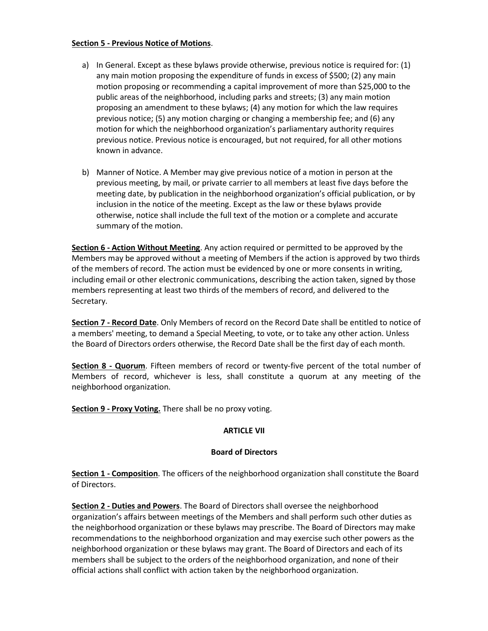#### **Section 5 - Previous Notice of Motions**.

- a) In General. Except as these bylaws provide otherwise, previous notice is required for: (1) any main motion proposing the expenditure of funds in excess of \$500; (2) any main motion proposing or recommending a capital improvement of more than \$25,000 to the public areas of the neighborhood, including parks and streets; (3) any main motion proposing an amendment to these bylaws; (4) any motion for which the law requires previous notice; (5) any motion charging or changing a membership fee; and (6) any motion for which the neighborhood organization's parliamentary authority requires previous notice. Previous notice is encouraged, but not required, for all other motions known in advance.
- b) Manner of Notice. A Member may give previous notice of a motion in person at the previous meeting, by mail, or private carrier to all members at least five days before the meeting date, by publication in the neighborhood organization's official publication, or by inclusion in the notice of the meeting. Except as the law or these bylaws provide otherwise, notice shall include the full text of the motion or a complete and accurate summary of the motion.

**Section 6 - Action Without Meeting**. Any action required or permitted to be approved by the Members may be approved without a meeting of Members if the action is approved by two thirds of the members of record. The action must be evidenced by one or more consents in writing, including email or other electronic communications, describing the action taken, signed by those members representing at least two thirds of the members of record, and delivered to the Secretary.

**Section 7 - Record Date**. Only Members of record on the Record Date shall be entitled to notice of a members' meeting, to demand a Special Meeting, to vote, or to take any other action. Unless the Board of Directors orders otherwise, the Record Date shall be the first day of each month.

**Section 8 - Quorum**. Fifteen members of record or twenty-five percent of the total number of Members of record, whichever is less, shall constitute a quorum at any meeting of the neighborhood organization.

**Section 9 - Proxy Voting.** There shall be no proxy voting.

# **ARTICLE VII**

# **Board of Directors**

**Section 1 - Composition**. The officers of the neighborhood organization shall constitute the Board of Directors.

**Section 2 - Duties and Powers**. The Board of Directors shall oversee the neighborhood organization's affairs between meetings of the Members and shall perform such other duties as the neighborhood organization or these bylaws may prescribe. The Board of Directors may make recommendations to the neighborhood organization and may exercise such other powers as the neighborhood organization or these bylaws may grant. The Board of Directors and each of its members shall be subject to the orders of the neighborhood organization, and none of their official actions shall conflict with action taken by the neighborhood organization.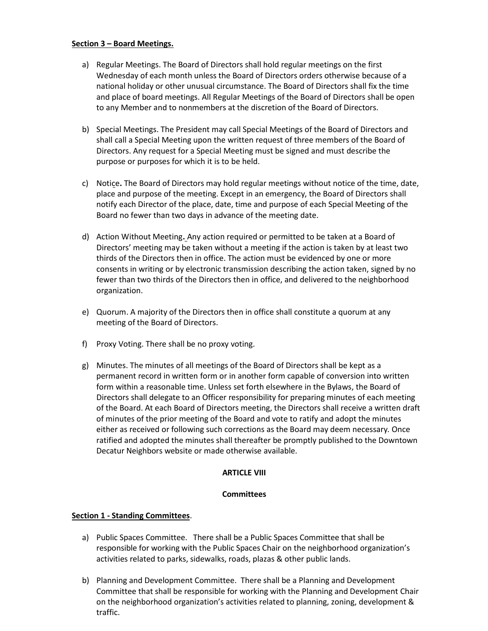# **Section 3 – Board Meetings.**

- a) Regular Meetings. The Board of Directors shall hold regular meetings on the first Wednesday of each month unless the Board of Directors orders otherwise because of a national holiday or other unusual circumstance. The Board of Directors shall fix the time and place of board meetings. All Regular Meetings of the Board of Directors shall be open to any Member and to nonmembers at the discretion of the Board of Directors.
- b) Special Meetings. The President may call Special Meetings of the Board of Directors and shall call a Special Meeting upon the written request of three members of the Board of Directors. Any request for a Special Meeting must be signed and must describe the purpose or purposes for which it is to be held.
- c) Notice**.** The Board of Directors may hold regular meetings without notice of the time, date, place and purpose of the meeting. Except in an emergency, the Board of Directors shall notify each Director of the place, date, time and purpose of each Special Meeting of the Board no fewer than two days in advance of the meeting date.
- d) Action Without Meeting**.** Any action required or permitted to be taken at a Board of Directors' meeting may be taken without a meeting if the action is taken by at least two thirds of the Directors then in office. The action must be evidenced by one or more consents in writing or by electronic transmission describing the action taken, signed by no fewer than two thirds of the Directors then in office, and delivered to the neighborhood organization.
- e) Quorum. A majority of the Directors then in office shall constitute a quorum at any meeting of the Board of Directors.
- f) Proxy Voting. There shall be no proxy voting.
- g) Minutes. The minutes of all meetings of the Board of Directors shall be kept as a permanent record in written form or in another form capable of conversion into written form within a reasonable time. Unless set forth elsewhere in the Bylaws, the Board of Directors shall delegate to an Officer responsibility for preparing minutes of each meeting of the Board. At each Board of Directors meeting, the Directors shall receive a written draft of minutes of the prior meeting of the Board and vote to ratify and adopt the minutes either as received or following such corrections as the Board may deem necessary. Once ratified and adopted the minutes shall thereafter be promptly published to the Downtown Decatur Neighbors website or made otherwise available.

# **ARTICLE VIII**

# **Committees**

# **Section 1 - Standing Committees**.

- a) Public Spaces Committee. There shall be a Public Spaces Committee that shall be responsible for working with the Public Spaces Chair on the neighborhood organization's activities related to parks, sidewalks, roads, plazas & other public lands.
- b) Planning and Development Committee. There shall be a Planning and Development Committee that shall be responsible for working with the Planning and Development Chair on the neighborhood organization's activities related to planning, zoning, development & traffic.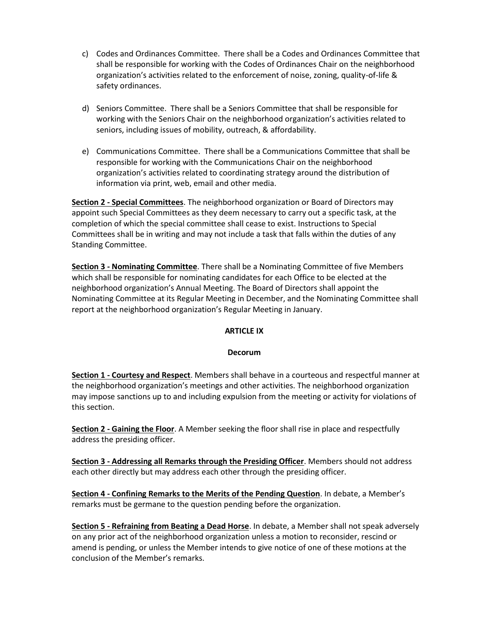- c) Codes and Ordinances Committee. There shall be a Codes and Ordinances Committee that shall be responsible for working with the Codes of Ordinances Chair on the neighborhood organization's activities related to the enforcement of noise, zoning, quality-of-life & safety ordinances.
- d) Seniors Committee. There shall be a Seniors Committee that shall be responsible for working with the Seniors Chair on the neighborhood organization's activities related to seniors, including issues of mobility, outreach, & affordability.
- e) Communications Committee. There shall be a Communications Committee that shall be responsible for working with the Communications Chair on the neighborhood organization's activities related to coordinating strategy around the distribution of information via print, web, email and other media.

**Section 2 - Special Committees**. The neighborhood organization or Board of Directors may appoint such Special Committees as they deem necessary to carry out a specific task, at the completion of which the special committee shall cease to exist. Instructions to Special Committees shall be in writing and may not include a task that falls within the duties of any Standing Committee.

**Section 3 - Nominating Committee**. There shall be a Nominating Committee of five Members which shall be responsible for nominating candidates for each Office to be elected at the neighborhood organization's Annual Meeting. The Board of Directors shall appoint the Nominating Committee at its Regular Meeting in December, and the Nominating Committee shall report at the neighborhood organization's Regular Meeting in January.

# **ARTICLE IX**

# **Decorum**

**Section 1 - Courtesy and Respect**. Members shall behave in a courteous and respectful manner at the neighborhood organization's meetings and other activities. The neighborhood organization may impose sanctions up to and including expulsion from the meeting or activity for violations of this section.

**Section 2 - Gaining the Floor**. A Member seeking the floor shall rise in place and respectfully address the presiding officer.

**Section 3 - Addressing all Remarks through the Presiding Officer**. Members should not address each other directly but may address each other through the presiding officer.

**Section 4 - Confining Remarks to the Merits of the Pending Question**. In debate, a Member's remarks must be germane to the question pending before the organization.

**Section 5 - Refraining from Beating a Dead Horse**. In debate, a Member shall not speak adversely on any prior act of the neighborhood organization unless a motion to reconsider, rescind or amend is pending, or unless the Member intends to give notice of one of these motions at the conclusion of the Member's remarks.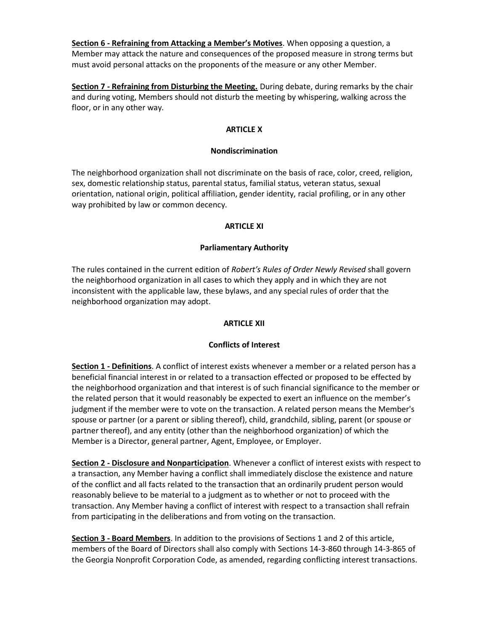**Section 6 - Refraining from Attacking a Member's Motives**. When opposing a question, a Member may attack the nature and consequences of the proposed measure in strong terms but must avoid personal attacks on the proponents of the measure or any other Member.

**Section 7 - Refraining from Disturbing the Meeting.** During debate, during remarks by the chair and during voting, Members should not disturb the meeting by whispering, walking across the floor, or in any other way.

# **ARTICLE X**

# **Nondiscrimination**

The neighborhood organization shall not discriminate on the basis of race, color, creed, religion, sex, domestic relationship status, parental status, familial status, veteran status, sexual orientation, national origin, political affiliation, gender identity, racial profiling, or in any other way prohibited by law or common decency.

# **ARTICLE XI**

# **Parliamentary Authority**

The rules contained in the current edition of *Robert's Rules of Order Newly Revised* shall govern the neighborhood organization in all cases to which they apply and in which they are not inconsistent with the applicable law, these bylaws, and any special rules of order that the neighborhood organization may adopt.

# **ARTICLE XII**

# **Conflicts of Interest**

**Section 1 - Definitions**. A conflict of interest exists whenever a member or a related person has a beneficial financial interest in or related to a transaction effected or proposed to be effected by the neighborhood organization and that interest is of such financial significance to the member or the related person that it would reasonably be expected to exert an influence on the member's judgment if the member were to vote on the transaction. A related person means the Member's spouse or partner (or a parent or sibling thereof), child, grandchild, sibling, parent (or spouse or partner thereof), and any entity (other than the neighborhood organization) of which the Member is a Director, general partner, Agent, Employee, or Employer.

**Section 2 - Disclosure and Nonparticipation**. Whenever a conflict of interest exists with respect to a transaction, any Member having a conflict shall immediately disclose the existence and nature of the conflict and all facts related to the transaction that an ordinarily prudent person would reasonably believe to be material to a judgment as to whether or not to proceed with the transaction. Any Member having a conflict of interest with respect to a transaction shall refrain from participating in the deliberations and from voting on the transaction.

**Section 3 - Board Members**. In addition to the provisions of Sections 1 and 2 of this article, members of the Board of Directors shall also comply with Sections 14-3-860 through 14-3-865 of the Georgia Nonprofit Corporation Code, as amended, regarding conflicting interest transactions.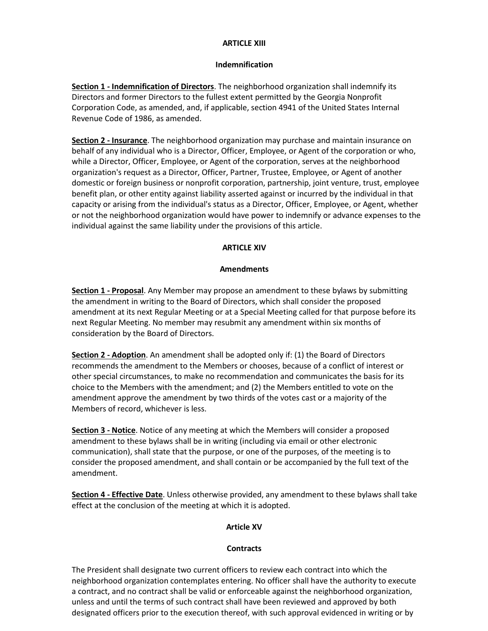#### **ARTICLE XIII**

#### **Indemnification**

**Section 1 - Indemnification of Directors**. The neighborhood organization shall indemnify its Directors and former Directors to the fullest extent permitted by the Georgia Nonprofit Corporation Code, as amended, and, if applicable, section 4941 of the United States Internal Revenue Code of 1986, as amended.

**Section 2 - Insurance**. The neighborhood organization may purchase and maintain insurance on behalf of any individual who is a Director, Officer, Employee, or Agent of the corporation or who, while a Director, Officer, Employee, or Agent of the corporation, serves at the neighborhood organization's request as a Director, Officer, Partner, Trustee, Employee, or Agent of another domestic or foreign business or nonprofit corporation, partnership, joint venture, trust, employee benefit plan, or other entity against liability asserted against or incurred by the individual in that capacity or arising from the individual's status as a Director, Officer, Employee, or Agent, whether or not the neighborhood organization would have power to indemnify or advance expenses to the individual against the same liability under the provisions of this article.

# **ARTICLE XIV**

#### **Amendments**

**Section 1 - Proposal**. Any Member may propose an amendment to these bylaws by submitting the amendment in writing to the Board of Directors, which shall consider the proposed amendment at its next Regular Meeting or at a Special Meeting called for that purpose before its next Regular Meeting. No member may resubmit any amendment within six months of consideration by the Board of Directors.

**Section 2 - Adoption**. An amendment shall be adopted only if: (1) the Board of Directors recommends the amendment to the Members or chooses, because of a conflict of interest or other special circumstances, to make no recommendation and communicates the basis for its choice to the Members with the amendment; and (2) the Members entitled to vote on the amendment approve the amendment by two thirds of the votes cast or a majority of the Members of record, whichever is less.

**Section 3 - Notice**. Notice of any meeting at which the Members will consider a proposed amendment to these bylaws shall be in writing (including via email or other electronic communication), shall state that the purpose, or one of the purposes, of the meeting is to consider the proposed amendment, and shall contain or be accompanied by the full text of the amendment.

**Section 4 - Effective Date**. Unless otherwise provided, any amendment to these bylaws shall take effect at the conclusion of the meeting at which it is adopted.

# **Article XV**

# **Contracts**

The President shall designate two current officers to review each contract into which the neighborhood organization contemplates entering. No officer shall have the authority to execute a contract, and no contract shall be valid or enforceable against the neighborhood organization, unless and until the terms of such contract shall have been reviewed and approved by both designated officers prior to the execution thereof, with such approval evidenced in writing or by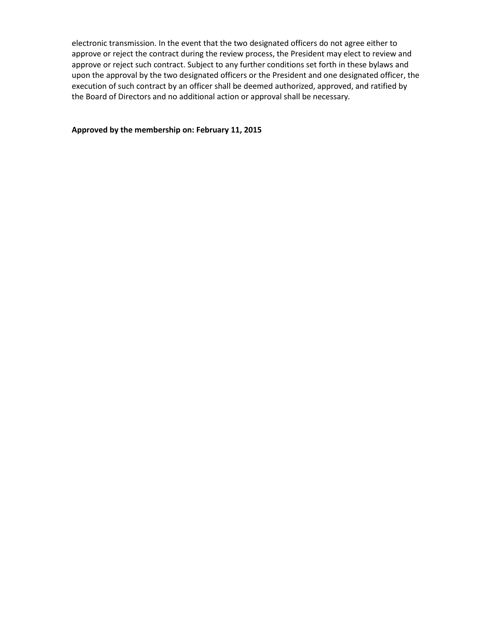electronic transmission. In the event that the two designated officers do not agree either to approve or reject the contract during the review process, the President may elect to review and approve or reject such contract. Subject to any further conditions set forth in these bylaws and upon the approval by the two designated officers or the President and one designated officer, the execution of such contract by an officer shall be deemed authorized, approved, and ratified by the Board of Directors and no additional action or approval shall be necessary.

#### **Approved by the membership on: February 11, 2015**